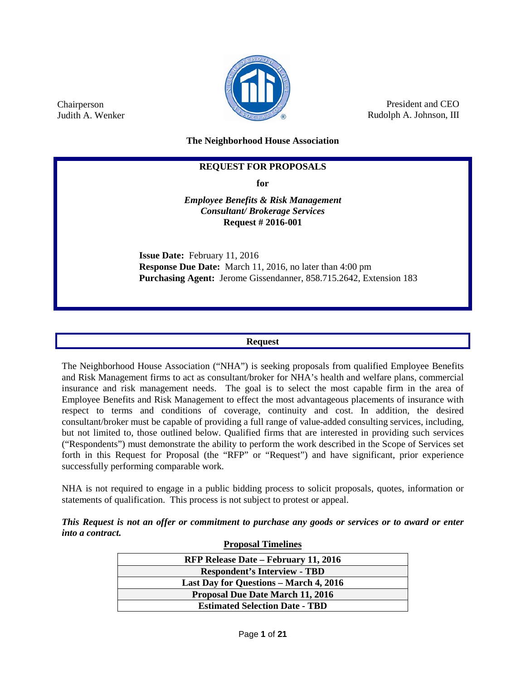

President and CEO Rudolph A. Johnson, III

**The Neighborhood House Association**

# **REQUEST FOR PROPOSALS**

**for**

*Employee Benefits & Risk Management Consultant/ Brokerage Services* **Request # 2016-001**

**Issue Date:** February 11, 2016 **Response Due Date:** March 11, 2016, no later than 4:00 pm **Purchasing Agent:** Jerome Gissendanner, 858.715.2642, Extension 183

#### **Request**

The Neighborhood House Association ("NHA") is seeking proposals from qualified Employee Benefits and Risk Management firms to act as consultant/broker for NHA's health and welfare plans, commercial insurance and risk management needs. The goal is to select the most capable firm in the area of Employee Benefits and Risk Management to effect the most advantageous placements of insurance with respect to terms and conditions of coverage, continuity and cost. In addition, the desired consultant/broker must be capable of providing a full range of value-added consulting services, including, but not limited to, those outlined below. Qualified firms that are interested in providing such services ("Respondents") must demonstrate the ability to perform the work described in the Scope of Services set forth in this Request for Proposal (the "RFP" or "Request") and have significant, prior experience successfully performing comparable work.

NHA is not required to engage in a public bidding process to solicit proposals, quotes, information or statements of qualification. This process is not subject to protest or appeal.

*This Request is not an offer or commitment to purchase any goods or services or to award or enter into a contract.* **Proposal Timelines**

| <b>Proposal Timelines</b>                     |  |  |  |  |
|-----------------------------------------------|--|--|--|--|
| <b>RFP Release Date – February 11, 2016</b>   |  |  |  |  |
| <b>Respondent's Interview - TBD</b>           |  |  |  |  |
| <b>Last Day for Questions – March 4, 2016</b> |  |  |  |  |
| <b>Proposal Due Date March 11, 2016</b>       |  |  |  |  |
| <b>Estimated Selection Date - TBD</b>         |  |  |  |  |

Chairperson Judith A. Wenker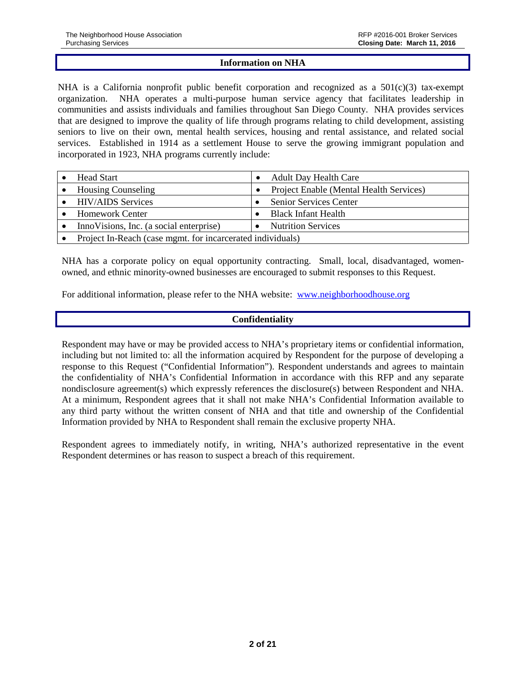#### **Information on NHA**

NHA is a California nonprofit public benefit corporation and recognized as a  $501(c)(3)$  tax-exempt organization. NHA operates a multi-purpose human service agency that facilitates leadership in communities and assists individuals and families throughout San Diego County. NHA provides services that are designed to improve the quality of life through programs relating to child development, assisting seniors to live on their own, mental health services, housing and rental assistance, and related social services. Established in 1914 as a settlement House to serve the growing immigrant population and incorporated in 1923, NHA programs currently include:

| <b>Head Start</b>                                          |  | <b>Adult Day Health Care</b>            |
|------------------------------------------------------------|--|-----------------------------------------|
| <b>Housing Counseling</b>                                  |  | Project Enable (Mental Health Services) |
| <b>HIV/AIDS</b> Services                                   |  | Senior Services Center                  |
| <b>Homework Center</b>                                     |  | <b>Black Infant Health</b>              |
| Inno Visions, Inc. (a social enterprise)                   |  | <b>Nutrition Services</b>               |
| Project In-Reach (case mgmt. for incarcerated individuals) |  |                                         |

NHA has a corporate policy on equal opportunity contracting. Small, local, disadvantaged, womenowned, and ethnic minority-owned businesses are encouraged to submit responses to this Request.

For additional information, please refer to the NHA website: [www.neighborhoodhouse.org](http://www.neighborhoodhouse.org/)

# **Confidentiality**

Respondent may have or may be provided access to NHA's proprietary items or confidential information, including but not limited to: all the information acquired by Respondent for the purpose of developing a response to this Request ("Confidential Information"). Respondent understands and agrees to maintain the confidentiality of NHA's Confidential Information in accordance with this RFP and any separate nondisclosure agreement(s) which expressly references the disclosure(s) between Respondent and NHA. At a minimum, Respondent agrees that it shall not make NHA's Confidential Information available to any third party without the written consent of NHA and that title and ownership of the Confidential Information provided by NHA to Respondent shall remain the exclusive property NHA.

Respondent agrees to immediately notify, in writing, NHA's authorized representative in the event Respondent determines or has reason to suspect a breach of this requirement.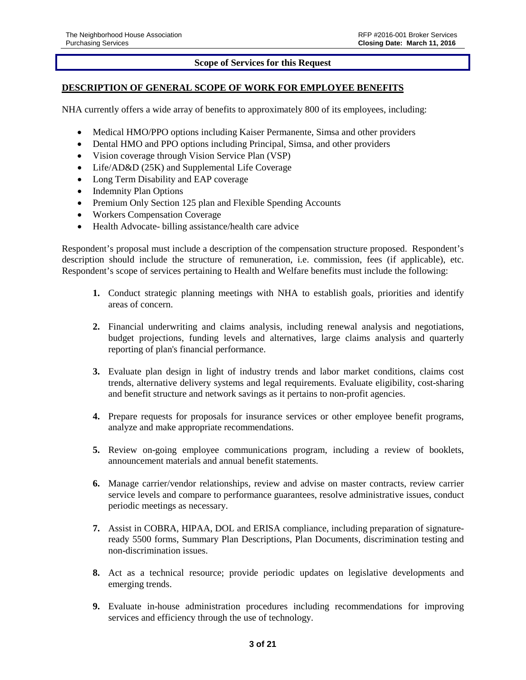# **Scope of Services for this Request**

### **DESCRIPTION OF GENERAL SCOPE OF WORK FOR EMPLOYEE BENEFITS**

NHA currently offers a wide array of benefits to approximately 800 of its employees, including:

- Medical HMO/PPO options including Kaiser Permanente, Simsa and other providers
- Dental HMO and PPO options including Principal, Simsa, and other providers
- Vision coverage through Vision Service Plan (VSP)
- Life/AD&D (25K) and Supplemental Life Coverage
- Long Term Disability and EAP coverage
- Indemnity Plan Options
- Premium Only Section 125 plan and Flexible Spending Accounts
- Workers Compensation Coverage
- Health Advocate- billing assistance/health care advice

Respondent's proposal must include a description of the compensation structure proposed. Respondent's description should include the structure of remuneration, i.e. commission, fees (if applicable), etc. Respondent's scope of services pertaining to Health and Welfare benefits must include the following:

- **1.** Conduct strategic planning meetings with NHA to establish goals, priorities and identify areas of concern.
- **2.** Financial underwriting and claims analysis, including renewal analysis and negotiations, budget projections, funding levels and alternatives, large claims analysis and quarterly reporting of plan's financial performance.
- **3.** Evaluate plan design in light of industry trends and labor market conditions, claims cost trends, alternative delivery systems and legal requirements. Evaluate eligibility, cost-sharing and benefit structure and network savings as it pertains to non-profit agencies.
- **4.** Prepare requests for proposals for insurance services or other employee benefit programs, analyze and make appropriate recommendations.
- **5.** Review on-going employee communications program, including a review of booklets, announcement materials and annual benefit statements.
- **6.** Manage carrier/vendor relationships, review and advise on master contracts, review carrier service levels and compare to performance guarantees, resolve administrative issues, conduct periodic meetings as necessary.
- **7.** Assist in COBRA, HIPAA, DOL and ERISA compliance, including preparation of signatureready 5500 forms, Summary Plan Descriptions, Plan Documents, discrimination testing and non-discrimination issues.
- **8.** Act as a technical resource; provide periodic updates on legislative developments and emerging trends.
- **9.** Evaluate in-house administration procedures including recommendations for improving services and efficiency through the use of technology.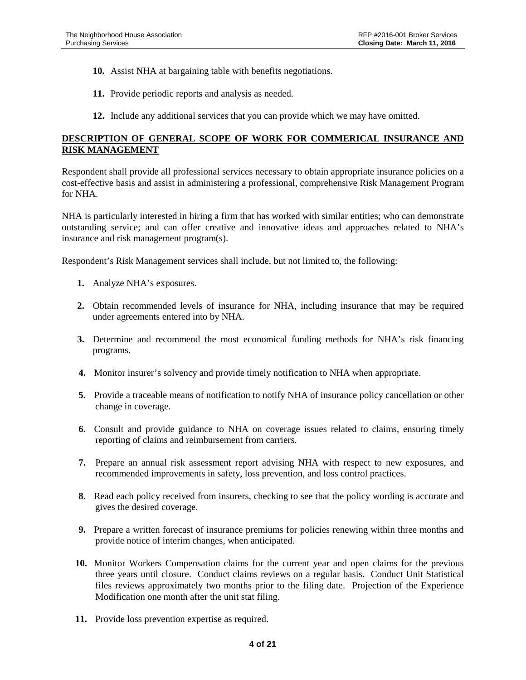- **10.** Assist NHA at bargaining table with benefits negotiations.
- **11.** Provide periodic reports and analysis as needed.
- **12.** Include any additional services that you can provide which we may have omitted.

# **DESCRIPTION OF GENERAL SCOPE OF WORK FOR COMMERICAL INSURANCE AND RISK MANAGEMENT**

Respondent shall provide all professional services necessary to obtain appropriate insurance policies on a cost-effective basis and assist in administering a professional, comprehensive Risk Management Program for NHA.

NHA is particularly interested in hiring a firm that has worked with similar entities; who can demonstrate outstanding service; and can offer creative and innovative ideas and approaches related to NHA's insurance and risk management program(s).

Respondent's Risk Management services shall include, but not limited to, the following:

- **1.** Analyze NHA's exposures.
- **2.** Obtain recommended levels of insurance for NHA, including insurance that may be required under agreements entered into by NHA.
- **3.** Determine and recommend the most economical funding methods for NHA's risk financing programs.
- **4.** Monitor insurer's solvency and provide timely notification to NHA when appropriate.
- **5.** Provide a traceable means of notification to notify NHA of insurance policy cancellation or other change in coverage.
- **6.** Consult and provide guidance to NHA on coverage issues related to claims, ensuring timely reporting of claims and reimbursement from carriers.
- **7.** Prepare an annual risk assessment report advising NHA with respect to new exposures, and recommended improvements in safety, loss prevention, and loss control practices.
- **8.** Read each policy received from insurers, checking to see that the policy wording is accurate and gives the desired coverage.
- **9.** Prepare a written forecast of insurance premiums for policies renewing within three months and provide notice of interim changes, when anticipated.
- **10.** Monitor Workers Compensation claims for the current year and open claims for the previous three years until closure. Conduct claims reviews on a regular basis. Conduct Unit Statistical files reviews approximately two months prior to the filing date. Projection of the Experience Modification one month after the unit stat filing.
- **11.** Provide loss prevention expertise as required.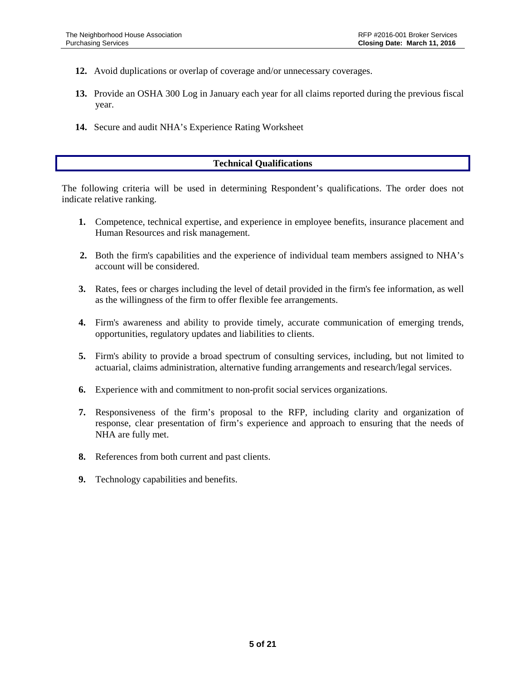- **12.** Avoid duplications or overlap of coverage and/or unnecessary coverages.
- **13.** Provide an OSHA 300 Log in January each year for all claims reported during the previous fiscal year.
- **14.** Secure and audit NHA's Experience Rating Worksheet

# **Technical Qualifications**

The following criteria will be used in determining Respondent's qualifications. The order does not indicate relative ranking.

- **1.** Competence, technical expertise, and experience in employee benefits, insurance placement and Human Resources and risk management.
- **2.** Both the firm's capabilities and the experience of individual team members assigned to NHA's account will be considered.
- **3.** Rates, fees or charges including the level of detail provided in the firm's fee information, as well as the willingness of the firm to offer flexible fee arrangements.
- **4.** Firm's awareness and ability to provide timely, accurate communication of emerging trends, opportunities, regulatory updates and liabilities to clients.
- **5.** Firm's ability to provide a broad spectrum of consulting services, including, but not limited to actuarial, claims administration, alternative funding arrangements and research/legal services.
- **6.** Experience with and commitment to non-profit social services organizations.
- **7.** Responsiveness of the firm's proposal to the RFP, including clarity and organization of response, clear presentation of firm's experience and approach to ensuring that the needs of NHA are fully met.
- **8.** References from both current and past clients.
- **9.** Technology capabilities and benefits.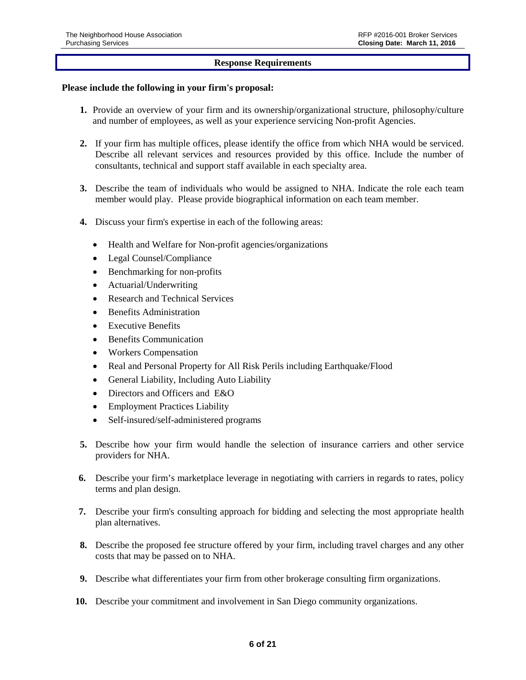# **Response Requirements**

#### **Please include the following in your firm's proposal:**

- **1.** Provide an overview of your firm and its ownership/organizational structure, philosophy/culture and number of employees, as well as your experience servicing Non-profit Agencies.
- **2.** If your firm has multiple offices, please identify the office from which NHA would be serviced. Describe all relevant services and resources provided by this office. Include the number of consultants, technical and support staff available in each specialty area.
- **3.** Describe the team of individuals who would be assigned to NHA. Indicate the role each team member would play. Please provide biographical information on each team member.
- **4.** Discuss your firm's expertise in each of the following areas:
	- Health and Welfare for Non-profit agencies/organizations
	- Legal Counsel/Compliance
	- Benchmarking for non-profits
	- Actuarial/Underwriting
	- Research and Technical Services
	- Benefits Administration
	- **Executive Benefits**
	- Benefits Communication
	- Workers Compensation
	- Real and Personal Property for All Risk Perils including Earthquake/Flood
	- General Liability, Including Auto Liability
	- Directors and Officers and E&O
	- Employment Practices Liability
	- Self-insured/self-administered programs
- **5.** Describe how your firm would handle the selection of insurance carriers and other service providers for NHA.
- **6.** Describe your firm's marketplace leverage in negotiating with carriers in regards to rates, policy terms and plan design.
- **7.** Describe your firm's consulting approach for bidding and selecting the most appropriate health plan alternatives.
- **8.** Describe the proposed fee structure offered by your firm, including travel charges and any other costs that may be passed on to NHA.
- **9.** Describe what differentiates your firm from other brokerage consulting firm organizations.
- **10.** Describe your commitment and involvement in San Diego community organizations.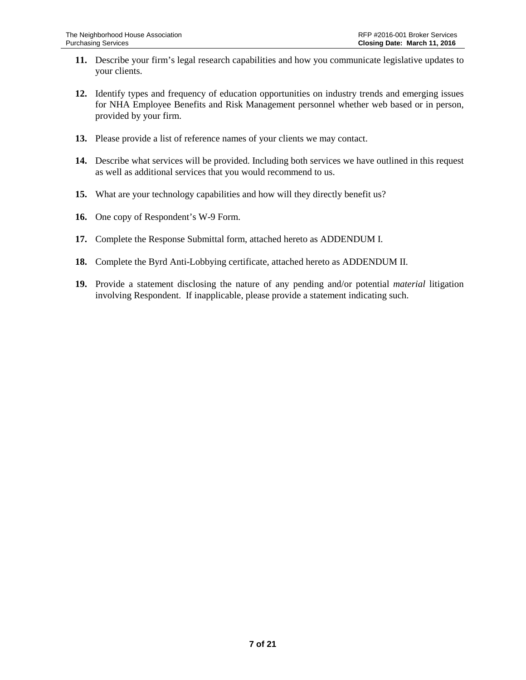- **11.** Describe your firm's legal research capabilities and how you communicate legislative updates to your clients.
- **12.** Identify types and frequency of education opportunities on industry trends and emerging issues for NHA Employee Benefits and Risk Management personnel whether web based or in person, provided by your firm.
- **13.** Please provide a list of reference names of your clients we may contact.
- **14.** Describe what services will be provided. Including both services we have outlined in this request as well as additional services that you would recommend to us.
- **15.** What are your technology capabilities and how will they directly benefit us?
- **16.** One copy of Respondent's W-9 Form.
- **17.** Complete the Response Submittal form, attached hereto as ADDENDUM I.
- **18.** Complete the Byrd Anti-Lobbying certificate, attached hereto as ADDENDUM II.
- **19.** Provide a statement disclosing the nature of any pending and/or potential *material* litigation involving Respondent. If inapplicable, please provide a statement indicating such.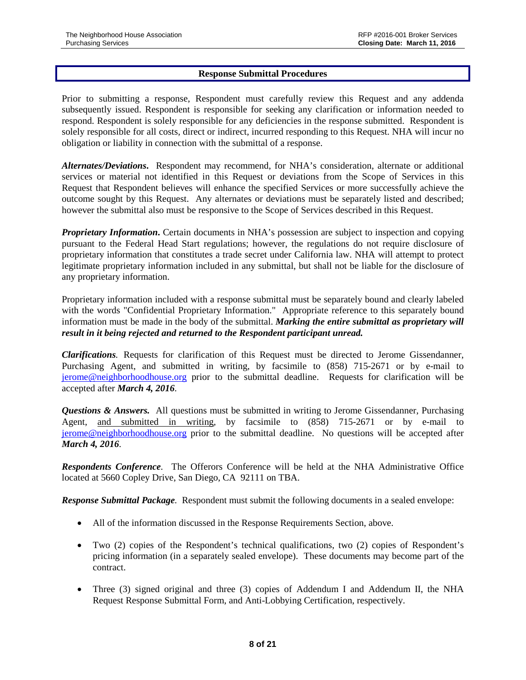### **Response Submittal Procedures**

Prior to submitting a response, Respondent must carefully review this Request and any addenda subsequently issued. Respondent is responsible for seeking any clarification or information needed to respond. Respondent is solely responsible for any deficiencies in the response submitted. Respondent is solely responsible for all costs, direct or indirect, incurred responding to this Request. NHA will incur no obligation or liability in connection with the submittal of a response.

*Alternates/Deviations***.** Respondent may recommend, for NHA's consideration, alternate or additional services or material not identified in this Request or deviations from the Scope of Services in this Request that Respondent believes will enhance the specified Services or more successfully achieve the outcome sought by this Request. Any alternates or deviations must be separately listed and described; however the submittal also must be responsive to the Scope of Services described in this Request.

*Proprietary Information***.** Certain documents in NHA's possession are subject to inspection and copying pursuant to the Federal Head Start regulations; however, the regulations do not require disclosure of proprietary information that constitutes a trade secret under California law. NHA will attempt to protect legitimate proprietary information included in any submittal, but shall not be liable for the disclosure of any proprietary information.

Proprietary information included with a response submittal must be separately bound and clearly labeled with the words "Confidential Proprietary Information." Appropriate reference to this separately bound information must be made in the body of the submittal. *Marking the entire submittal as proprietary will result in it being rejected and returned to the Respondent participant unread.*

*Clarifications.* Requests for clarification of this Request must be directed to Jerome Gissendanner, Purchasing Agent, and submitted in writing, by facsimile to (858) 715-2671 or by e-mail to [jerome@neighborhoodhouse.org](mailto:jerome@neighborhoodhouse.org) prior to the submittal deadline. Requests for clarification will be accepted after *March 4, 2016*.

*Questions & Answers.* All questions must be submitted in writing to Jerome Gissendanner, Purchasing Agent, and submitted in writing, by facsimile to (858) 715-2671 or by e-mail to [jerome@neighborhoodhouse.org](mailto:jerome@neighborhoodhouse.org) prior to the submittal deadline. No questions will be accepted after *March 4, 2016*.

*Respondents Conference.* The Offerors Conference will be held at the NHA Administrative Office located at 5660 Copley Drive, San Diego, CA 92111 on TBA.

*Response Submittal Package.* Respondent must submit the following documents in a sealed envelope:

- All of the information discussed in the Response Requirements Section, above.
- Two (2) copies of the Respondent's technical qualifications, two (2) copies of Respondent's pricing information (in a separately sealed envelope). These documents may become part of the contract.
- Three (3) signed original and three (3) copies of Addendum I and Addendum II, the NHA Request Response Submittal Form, and Anti-Lobbying Certification, respectively.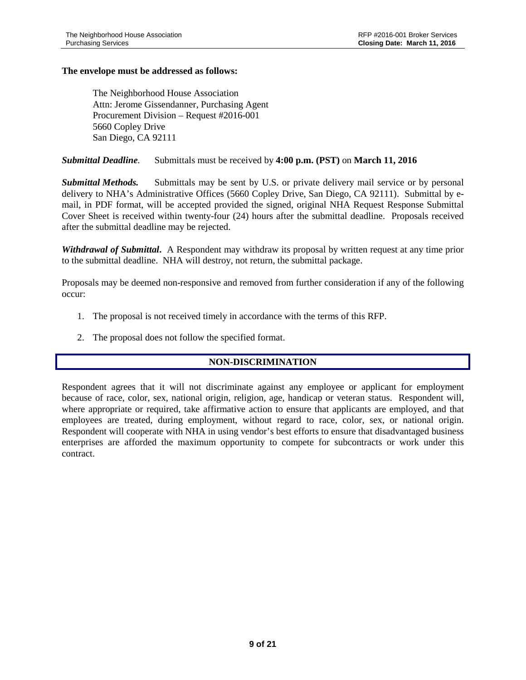### **The envelope must be addressed as follows:**

The Neighborhood House Association Attn: Jerome Gissendanner, Purchasing Agent Procurement Division – Request #2016-001 5660 Copley Drive San Diego, CA 92111

### *Submittal Deadline.* Submittals must be received by **4:00 p.m. (PST)** on **March 11, 2016**

*Submittal Methods.* Submittals may be sent by U.S. or private delivery mail service or by personal delivery to NHA's Administrative Offices (5660 Copley Drive, San Diego, CA 92111). Submittal by email, in PDF format, will be accepted provided the signed, original NHA Request Response Submittal Cover Sheet is received within twenty-four (24) hours after the submittal deadline. Proposals received after the submittal deadline may be rejected.

*Withdrawal of Submittal***.** A Respondent may withdraw its proposal by written request at any time prior to the submittal deadline. NHA will destroy, not return, the submittal package.

Proposals may be deemed non-responsive and removed from further consideration if any of the following occur:

- 1. The proposal is not received timely in accordance with the terms of this RFP.
- 2. The proposal does not follow the specified format.

#### **NON-DISCRIMINATION**

Respondent agrees that it will not discriminate against any employee or applicant for employment because of race, color, sex, national origin, religion, age, handicap or veteran status. Respondent will, where appropriate or required, take affirmative action to ensure that applicants are employed, and that employees are treated, during employment, without regard to race, color, sex, or national origin. Respondent will cooperate with NHA in using vendor's best efforts to ensure that disadvantaged business enterprises are afforded the maximum opportunity to compete for subcontracts or work under this contract.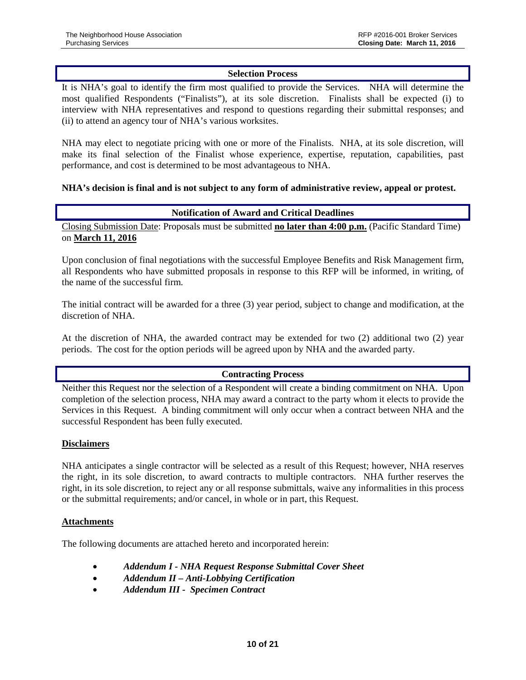# **Selection Process**

It is NHA's goal to identify the firm most qualified to provide the Services. NHA will determine the most qualified Respondents ("Finalists"), at its sole discretion. Finalists shall be expected (i) to interview with NHA representatives and respond to questions regarding their submittal responses; and (ii) to attend an agency tour of NHA's various worksites.

NHA may elect to negotiate pricing with one or more of the Finalists. NHA, at its sole discretion, will make its final selection of the Finalist whose experience, expertise, reputation, capabilities, past performance, and cost is determined to be most advantageous to NHA.

#### **NHA's decision is final and is not subject to any form of administrative review, appeal or protest.**

#### **Notification of Award and Critical Deadlines**

Closing Submission Date: Proposals must be submitted **no later than 4:00 p.m.** (Pacific Standard Time) on **March 11, 2016**

Upon conclusion of final negotiations with the successful Employee Benefits and Risk Management firm, all Respondents who have submitted proposals in response to this RFP will be informed, in writing, of the name of the successful firm.

The initial contract will be awarded for a three (3) year period, subject to change and modification, at the discretion of NHA.

At the discretion of NHA*,* the awarded contract may be extended for two (2) additional two (2) year periods. The cost for the option periods will be agreed upon by NHA and the awarded party.

#### **Contracting Process**

Neither this Request nor the selection of a Respondent will create a binding commitment on NHA. Upon completion of the selection process, NHA may award a contract to the party whom it elects to provide the Services in this Request. A binding commitment will only occur when a contract between NHA and the successful Respondent has been fully executed.

#### **Disclaimers**

NHA anticipates a single contractor will be selected as a result of this Request; however, NHA reserves the right, in its sole discretion, to award contracts to multiple contractors. NHA further reserves the right, in its sole discretion, to reject any or all response submittals, waive any informalities in this process or the submittal requirements; and/or cancel, in whole or in part, this Request.

#### **Attachments**

The following documents are attached hereto and incorporated herein:

- *Addendum I - NHA Request Response Submittal Cover Sheet*
- *Addendum II – Anti-Lobbying Certification*
- *Addendum III Specimen Contract*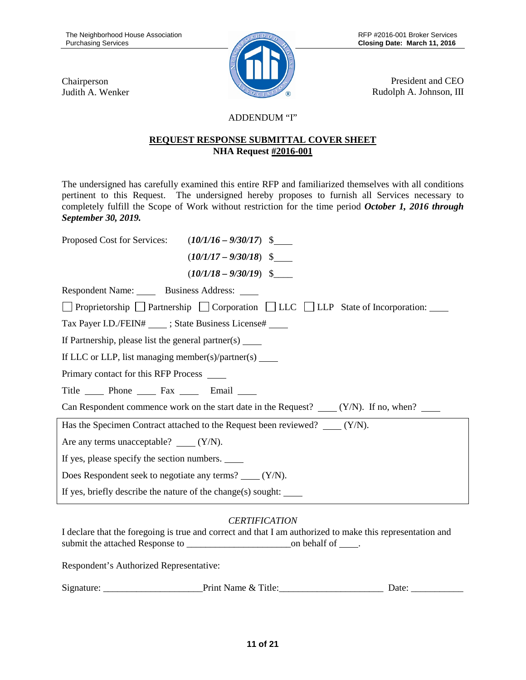Chairperson Judith A. Wenker



President and CEO Rudolph A. Johnson, III

# ADDENDUM "I"

# **REQUEST RESPONSE SUBMITTAL COVER SHEET NHA Request #2016-001**

The undersigned has carefully examined this entire RFP and familiarized themselves with all conditions pertinent to this Request. The undersigned hereby proposes to furnish all Services necessary to completely fulfill the Scope of Work without restriction for the time period *October 1, 2016 through September 30, 2019.* 

| Proposed Cost for Services: $(10/1/16 - 9/30/17)$ \$                                         |                          |  |  |  |  |  |  |  |
|----------------------------------------------------------------------------------------------|--------------------------|--|--|--|--|--|--|--|
|                                                                                              | $(10/1/17 - 9/30/18)$ \$ |  |  |  |  |  |  |  |
|                                                                                              | $(10/1/18 - 9/30/19)$ \$ |  |  |  |  |  |  |  |
| Respondent Name: Business Address: ____                                                      |                          |  |  |  |  |  |  |  |
| Proprietorship Partnership Corporation LLC LLP State of Incorporation:                       |                          |  |  |  |  |  |  |  |
| Tax Payer I.D./FEIN# _____; State Business License# _____                                    |                          |  |  |  |  |  |  |  |
| If Partnership, please list the general partner(s) $\qquad \qquad$                           |                          |  |  |  |  |  |  |  |
| If LLC or LLP, list managing member(s)/partner(s) $\_\_$                                     |                          |  |  |  |  |  |  |  |
| Primary contact for this RFP Process                                                         |                          |  |  |  |  |  |  |  |
| Title Phone Fax Email                                                                        |                          |  |  |  |  |  |  |  |
| Can Respondent commence work on the start date in the Request? $\qquad (Y/N)$ . If no, when? |                          |  |  |  |  |  |  |  |
| Has the Specimen Contract attached to the Request been reviewed? $(Y/N)$ .                   |                          |  |  |  |  |  |  |  |
| Are any terms unacceptable? $\_\_\_ (Y/N)$ .                                                 |                          |  |  |  |  |  |  |  |
| If yes, please specify the section numbers.                                                  |                          |  |  |  |  |  |  |  |
| Does Respondent seek to negotiate any terms? $( Y/N)$ .                                      |                          |  |  |  |  |  |  |  |
| If yes, briefly describe the nature of the change(s) sought:                                 |                          |  |  |  |  |  |  |  |

# *CERTIFICATION*

I declare that the foregoing is true and correct and that I am authorized to make this representation and submit the attached Response to \_\_\_\_\_\_\_\_\_\_\_\_\_\_\_\_\_\_\_\_\_\_on behalf of .

Respondent's Authorized Representative:

| Signature | $\mathbf{r}$<br>`itle <sup>.</sup><br>.<br>Name<br>чш<br>$\alpha$ |  |
|-----------|-------------------------------------------------------------------|--|
|-----------|-------------------------------------------------------------------|--|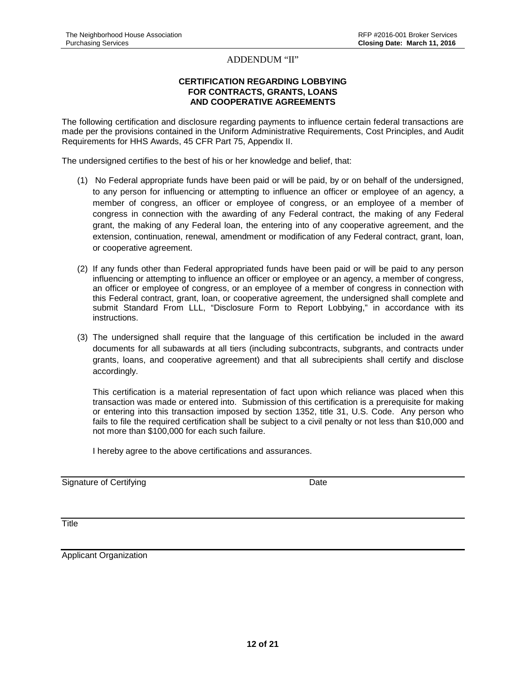#### ADDENDUM "II"

#### **CERTIFICATION REGARDING LOBBYING FOR CONTRACTS, GRANTS, LOANS AND COOPERATIVE AGREEMENTS**

The following certification and disclosure regarding payments to influence certain federal transactions are made per the provisions contained in the Uniform Administrative Requirements, Cost Principles, and Audit Requirements for HHS Awards, 45 CFR Part 75, Appendix II.

The undersigned certifies to the best of his or her knowledge and belief, that:

- (1) No Federal appropriate funds have been paid or will be paid, by or on behalf of the undersigned, to any person for influencing or attempting to influence an officer or employee of an agency, a member of congress, an officer or employee of congress, or an employee of a member of congress in connection with the awarding of any Federal contract, the making of any Federal grant, the making of any Federal loan, the entering into of any cooperative agreement, and the extension, continuation, renewal, amendment or modification of any Federal contract, grant, loan, or cooperative agreement.
- (2) If any funds other than Federal appropriated funds have been paid or will be paid to any person influencing or attempting to influence an officer or employee or an agency, a member of congress, an officer or employee of congress, or an employee of a member of congress in connection with this Federal contract, grant, loan, or cooperative agreement, the undersigned shall complete and submit Standard From LLL, "Disclosure Form to Report Lobbying," in accordance with its instructions.
- (3) The undersigned shall require that the language of this certification be included in the award documents for all subawards at all tiers (including subcontracts, subgrants, and contracts under grants, loans, and cooperative agreement) and that all subrecipients shall certify and disclose accordingly.

This certification is a material representation of fact upon which reliance was placed when this transaction was made or entered into. Submission of this certification is a prerequisite for making or entering into this transaction imposed by section 1352, title 31, U.S. Code. Any person who fails to file the required certification shall be subject to a civil penalty or not less than \$10,000 and not more than \$100,000 for each such failure.

I hereby agree to the above certifications and assurances.

Signature of Certifying **Date** Date **Date** 

**Title** 

Applicant Organization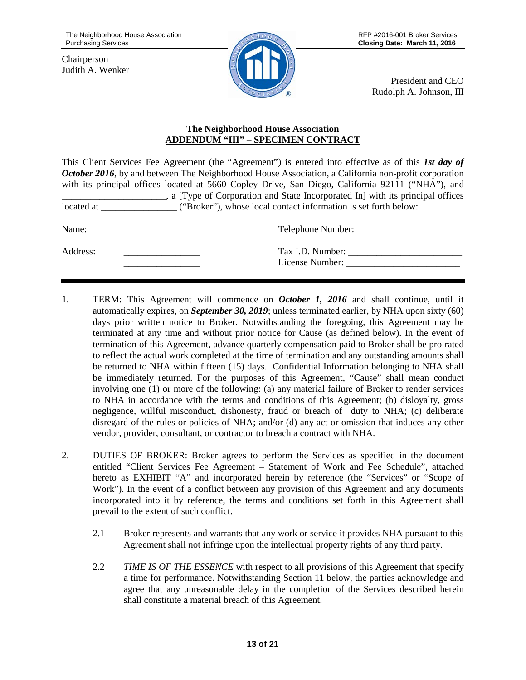Chairperson Judith A. Wenker



President and CEO Rudolph A. Johnson, III

# **The Neighborhood House Association ADDENDUM "III" – SPECIMEN CONTRACT**

This Client Services Fee Agreement (the "Agreement") is entered into effective as of this *1st day of October 2016*, by and between The Neighborhood House Association, a California non-profit corporation with its principal offices located at 5660 Copley Drive, San Diego, California 92111 ("NHA"), and \_\_\_\_\_\_\_\_\_\_\_\_\_\_\_\_\_\_\_\_\_\_, a [Type of Corporation and State Incorporated In] with its principal offices located at  $($ "Broker"), whose local contact information is set forth below: Name: \_\_\_\_\_\_\_\_\_\_\_\_\_\_\_\_ Telephone Number: \_\_\_\_\_\_\_\_\_\_\_\_\_\_\_\_\_\_\_\_\_\_ Address: Tax I.D. Number: License Number:

- 1. TERM: This Agreement will commence on *October 1, 2016* and shall continue, until it automatically expires, on *September 30, 2019*; unless terminated earlier, by NHA upon sixty (60) days prior written notice to Broker. Notwithstanding the foregoing, this Agreement may be terminated at any time and without prior notice for Cause (as defined below). In the event of termination of this Agreement, advance quarterly compensation paid to Broker shall be pro-rated to reflect the actual work completed at the time of termination and any outstanding amounts shall be returned to NHA within fifteen (15) days. Confidential Information belonging to NHA shall be immediately returned. For the purposes of this Agreement, "Cause" shall mean conduct involving one (1) or more of the following: (a) any material failure of Broker to render services to NHA in accordance with the terms and conditions of this Agreement; (b) disloyalty, gross negligence, willful misconduct, dishonesty, fraud or breach of duty to NHA; (c) deliberate disregard of the rules or policies of NHA; and/or (d) any act or omission that induces any other vendor, provider, consultant, or contractor to breach a contract with NHA.
- 2. DUTIES OF BROKER: Broker agrees to perform the Services as specified in the document entitled "Client Services Fee Agreement – Statement of Work and Fee Schedule", attached hereto as EXHIBIT "A" and incorporated herein by reference (the "Services" or "Scope of Work"). In the event of a conflict between any provision of this Agreement and any documents incorporated into it by reference, the terms and conditions set forth in this Agreement shall prevail to the extent of such conflict.
	- 2.1 Broker represents and warrants that any work or service it provides NHA pursuant to this Agreement shall not infringe upon the intellectual property rights of any third party.
	- 2.2 *TIME IS OF THE ESSENCE* with respect to all provisions of this Agreement that specify a time for performance. Notwithstanding Section 11 below, the parties acknowledge and agree that any unreasonable delay in the completion of the Services described herein shall constitute a material breach of this Agreement.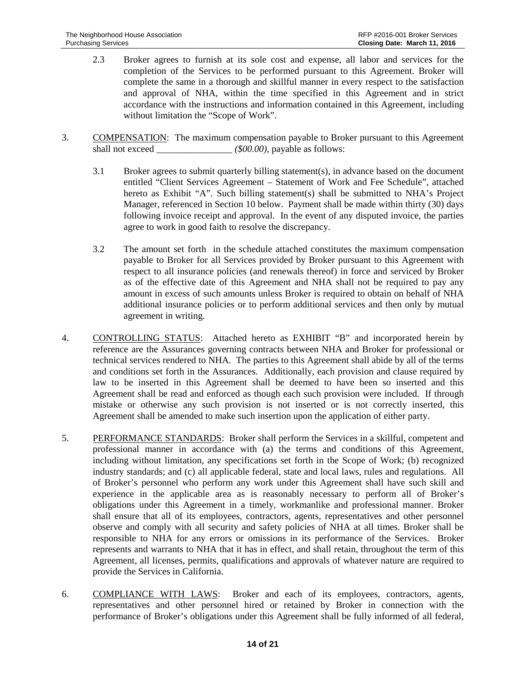- 2.3 Broker agrees to furnish at its sole cost and expense, all labor and services for the completion of the Services to be performed pursuant to this Agreement. Broker will complete the same in a thorough and skillful manner in every respect to the satisfaction and approval of NHA, within the time specified in this Agreement and in strict accordance with the instructions and information contained in this Agreement, including without limitation the "Scope of Work".
- 3. COMPENSATION: The maximum compensation payable to Broker pursuant to this Agreement shall not exceed  $(\$00.00)$ , payable as follows:
	- 3.1 Broker agrees to submit quarterly billing statement(s), in advance based on the document entitled "Client Services Agreement – Statement of Work and Fee Schedule", attached hereto as Exhibit "A". Such billing statement(s) shall be submitted to NHA's Project Manager, referenced in Section 10 below. Payment shall be made within thirty (30) days following invoice receipt and approval. In the event of any disputed invoice, the parties agree to work in good faith to resolve the discrepancy.
	- 3.2 The amount set forth in the schedule attached constitutes the maximum compensation payable to Broker for all Services provided by Broker pursuant to this Agreement with respect to all insurance policies (and renewals thereof) in force and serviced by Broker as of the effective date of this Agreement and NHA shall not be required to pay any amount in excess of such amounts unless Broker is required to obtain on behalf of NHA additional insurance policies or to perform additional services and then only by mutual agreement in writing.
- 4. CONTROLLING STATUS: Attached hereto as EXHIBIT "B" and incorporated herein by reference are the Assurances governing contracts between NHA and Broker for professional or technical services rendered to NHA. The parties to this Agreement shall abide by all of the terms and conditions set forth in the Assurances. Additionally, each provision and clause required by law to be inserted in this Agreement shall be deemed to have been so inserted and this Agreement shall be read and enforced as though each such provision were included. If through mistake or otherwise any such provision is not inserted or is not correctly inserted, this Agreement shall be amended to make such insertion upon the application of either party.
- 5. PERFORMANCE STANDARDS: Broker shall perform the Services in a skillful, competent and professional manner in accordance with (a) the terms and conditions of this Agreement, including without limitation, any specifications set forth in the Scope of Work; (b) recognized industry standards; and (c) all applicable federal, state and local laws, rules and regulations. All of Broker's personnel who perform any work under this Agreement shall have such skill and experience in the applicable area as is reasonably necessary to perform all of Broker's obligations under this Agreement in a timely, workmanlike and professional manner. Broker shall ensure that all of its employees, contractors, agents, representatives and other personnel observe and comply with all security and safety policies of NHA at all times. Broker shall be responsible to NHA for any errors or omissions in its performance of the Services. Broker represents and warrants to NHA that it has in effect, and shall retain, throughout the term of this Agreement, all licenses, permits, qualifications and approvals of whatever nature are required to provide the Services in California.
- 6. COMPLIANCE WITH LAWS: Broker and each of its employees, contractors, agents, representatives and other personnel hired or retained by Broker in connection with the performance of Broker's obligations under this Agreement shall be fully informed of all federal,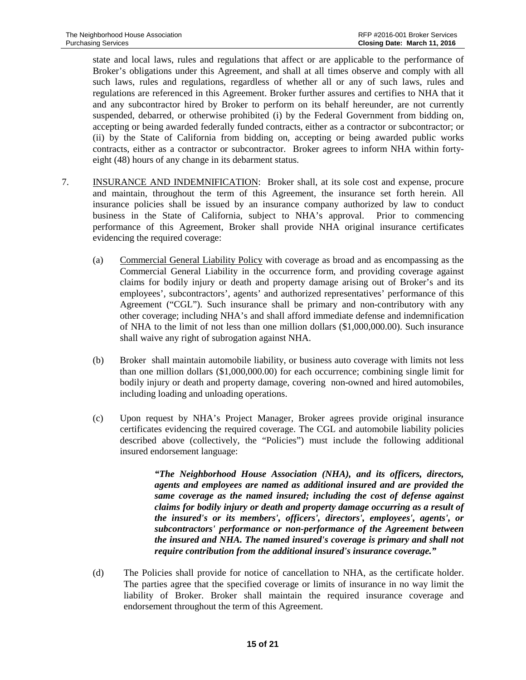state and local laws, rules and regulations that affect or are applicable to the performance of Broker's obligations under this Agreement, and shall at all times observe and comply with all such laws, rules and regulations, regardless of whether all or any of such laws, rules and regulations are referenced in this Agreement. Broker further assures and certifies to NHA that it and any subcontractor hired by Broker to perform on its behalf hereunder, are not currently suspended, debarred, or otherwise prohibited (i) by the Federal Government from bidding on, accepting or being awarded federally funded contracts, either as a contractor or subcontractor; or (ii) by the State of California from bidding on, accepting or being awarded public works contracts, either as a contractor or subcontractor. Broker agrees to inform NHA within fortyeight (48) hours of any change in its debarment status.

- 7. INSURANCE AND INDEMNIFICATION: Broker shall, at its sole cost and expense, procure and maintain, throughout the term of this Agreement, the insurance set forth herein. All insurance policies shall be issued by an insurance company authorized by law to conduct business in the State of California, subject to NHA's approval. Prior to commencing performance of this Agreement, Broker shall provide NHA original insurance certificates evidencing the required coverage:
	- (a) Commercial General Liability Policy with coverage as broad and as encompassing as the Commercial General Liability in the occurrence form, and providing coverage against claims for bodily injury or death and property damage arising out of Broker's and its employees', subcontractors', agents' and authorized representatives' performance of this Agreement ("CGL"). Such insurance shall be primary and non-contributory with any other coverage; including NHA's and shall afford immediate defense and indemnification of NHA to the limit of not less than one million dollars (\$1,000,000.00). Such insurance shall waive any right of subrogation against NHA.
	- (b) Broker shall maintain automobile liability, or business auto coverage with limits not less than one million dollars (\$1,000,000.00) for each occurrence; combining single limit for bodily injury or death and property damage, covering non-owned and hired automobiles, including loading and unloading operations.
	- (c) Upon request by NHA's Project Manager, Broker agrees provide original insurance certificates evidencing the required coverage. The CGL and automobile liability policies described above (collectively, the "Policies") must include the following additional insured endorsement language:

*"The Neighborhood House Association (NHA), and its officers, directors, agents and employees are named as additional insured and are provided the same coverage as the named insured; including the cost of defense against claims for bodily injury or death and property damage occurring as a result of the insured's or its members', officers', directors', employees', agents', or subcontractors' performance or non-performance of the Agreement between the insured and NHA. The named insured's coverage is primary and shall not require contribution from the additional insured's insurance coverage."*

(d) The Policies shall provide for notice of cancellation to NHA, as the certificate holder. The parties agree that the specified coverage or limits of insurance in no way limit the liability of Broker. Broker shall maintain the required insurance coverage and endorsement throughout the term of this Agreement.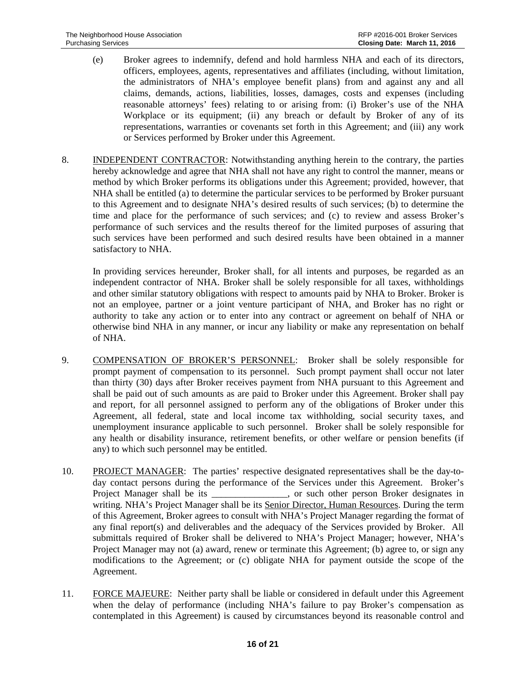- (e) Broker agrees to indemnify, defend and hold harmless NHA and each of its directors, officers, employees, agents, representatives and affiliates (including, without limitation, the administrators of NHA's employee benefit plans) from and against any and all claims, demands, actions, liabilities, losses, damages, costs and expenses (including reasonable attorneys' fees) relating to or arising from: (i) Broker's use of the NHA Workplace or its equipment; (ii) any breach or default by Broker of any of its representations, warranties or covenants set forth in this Agreement; and (iii) any work or Services performed by Broker under this Agreement.
- 8. INDEPENDENT CONTRACTOR: Notwithstanding anything herein to the contrary, the parties hereby acknowledge and agree that NHA shall not have any right to control the manner, means or method by which Broker performs its obligations under this Agreement; provided, however, that NHA shall be entitled (a) to determine the particular services to be performed by Broker pursuant to this Agreement and to designate NHA's desired results of such services; (b) to determine the time and place for the performance of such services; and (c) to review and assess Broker's performance of such services and the results thereof for the limited purposes of assuring that such services have been performed and such desired results have been obtained in a manner satisfactory to NHA.

In providing services hereunder, Broker shall, for all intents and purposes, be regarded as an independent contractor of NHA. Broker shall be solely responsible for all taxes, withholdings and other similar statutory obligations with respect to amounts paid by NHA to Broker. Broker is not an employee, partner or a joint venture participant of NHA, and Broker has no right or authority to take any action or to enter into any contract or agreement on behalf of NHA or otherwise bind NHA in any manner, or incur any liability or make any representation on behalf of NHA.

- 9. COMPENSATION OF BROKER'S PERSONNEL: Broker shall be solely responsible for prompt payment of compensation to its personnel. Such prompt payment shall occur not later than thirty (30) days after Broker receives payment from NHA pursuant to this Agreement and shall be paid out of such amounts as are paid to Broker under this Agreement. Broker shall pay and report, for all personnel assigned to perform any of the obligations of Broker under this Agreement, all federal, state and local income tax withholding, social security taxes, and unemployment insurance applicable to such personnel. Broker shall be solely responsible for any health or disability insurance, retirement benefits, or other welfare or pension benefits (if any) to which such personnel may be entitled.
- 10. PROJECT MANAGER: The parties' respective designated representatives shall be the day-today contact persons during the performance of the Services under this Agreement. Broker's Project Manager shall be its \_\_\_\_\_\_\_\_\_\_\_\_\_\_, or such other person Broker designates in writing. NHA's Project Manager shall be its Senior Director, Human Resources. During the term of this Agreement, Broker agrees to consult with NHA's Project Manager regarding the format of any final report(s) and deliverables and the adequacy of the Services provided by Broker. All submittals required of Broker shall be delivered to NHA's Project Manager; however, NHA's Project Manager may not (a) award, renew or terminate this Agreement; (b) agree to, or sign any modifications to the Agreement; or (c) obligate NHA for payment outside the scope of the Agreement.
- 11. FORCE MAJEURE: Neither party shall be liable or considered in default under this Agreement when the delay of performance (including NHA's failure to pay Broker's compensation as contemplated in this Agreement) is caused by circumstances beyond its reasonable control and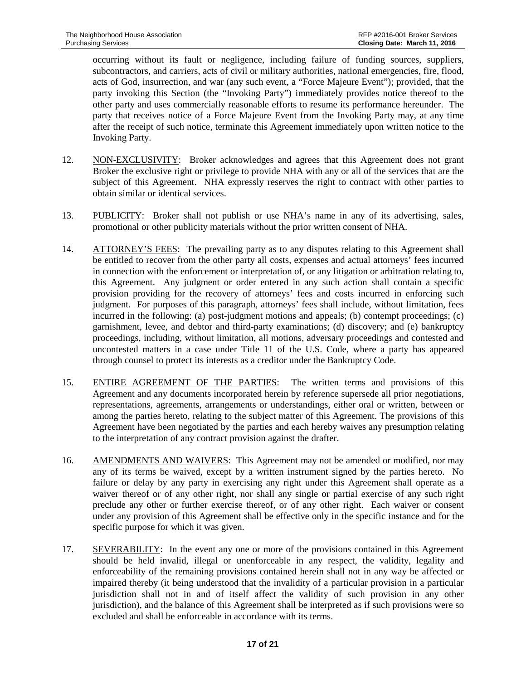occurring without its fault or negligence, including failure of funding sources, suppliers, subcontractors, and carriers, acts of civil or military authorities, national emergencies, fire, flood, acts of God, insurrection, and war (any such event, a "Force Majeure Event"); provided, that the party invoking this Section (the "Invoking Party") immediately provides notice thereof to the other party and uses commercially reasonable efforts to resume its performance hereunder. The party that receives notice of a Force Majeure Event from the Invoking Party may, at any time after the receipt of such notice, terminate this Agreement immediately upon written notice to the Invoking Party.

- 12. NON-EXCLUSIVITY: Broker acknowledges and agrees that this Agreement does not grant Broker the exclusive right or privilege to provide NHA with any or all of the services that are the subject of this Agreement. NHA expressly reserves the right to contract with other parties to obtain similar or identical services.
- 13. PUBLICITY: Broker shall not publish or use NHA's name in any of its advertising, sales, promotional or other publicity materials without the prior written consent of NHA.
- 14. ATTORNEY'S FEES: The prevailing party as to any disputes relating to this Agreement shall be entitled to recover from the other party all costs, expenses and actual attorneys' fees incurred in connection with the enforcement or interpretation of, or any litigation or arbitration relating to, this Agreement. Any judgment or order entered in any such action shall contain a specific provision providing for the recovery of attorneys' fees and costs incurred in enforcing such judgment. For purposes of this paragraph, attorneys' fees shall include, without limitation, fees incurred in the following: (a) post-judgment motions and appeals; (b) contempt proceedings; (c) garnishment, levee, and debtor and third-party examinations; (d) discovery; and (e) bankruptcy proceedings, including, without limitation, all motions, adversary proceedings and contested and uncontested matters in a case under Title 11 of the U.S. Code, where a party has appeared through counsel to protect its interests as a creditor under the Bankruptcy Code.
- 15. ENTIRE AGREEMENT OF THE PARTIES: The written terms and provisions of this Agreement and any documents incorporated herein by reference supersede all prior negotiations, representations, agreements, arrangements or understandings, either oral or written, between or among the parties hereto, relating to the subject matter of this Agreement. The provisions of this Agreement have been negotiated by the parties and each hereby waives any presumption relating to the interpretation of any contract provision against the drafter.
- 16. AMENDMENTS AND WAIVERS: This Agreement may not be amended or modified, nor may any of its terms be waived, except by a written instrument signed by the parties hereto. No failure or delay by any party in exercising any right under this Agreement shall operate as a waiver thereof or of any other right, nor shall any single or partial exercise of any such right preclude any other or further exercise thereof, or of any other right. Each waiver or consent under any provision of this Agreement shall be effective only in the specific instance and for the specific purpose for which it was given.
- 17. SEVERABILITY: In the event any one or more of the provisions contained in this Agreement should be held invalid, illegal or unenforceable in any respect, the validity, legality and enforceability of the remaining provisions contained herein shall not in any way be affected or impaired thereby (it being understood that the invalidity of a particular provision in a particular jurisdiction shall not in and of itself affect the validity of such provision in any other jurisdiction), and the balance of this Agreement shall be interpreted as if such provisions were so excluded and shall be enforceable in accordance with its terms.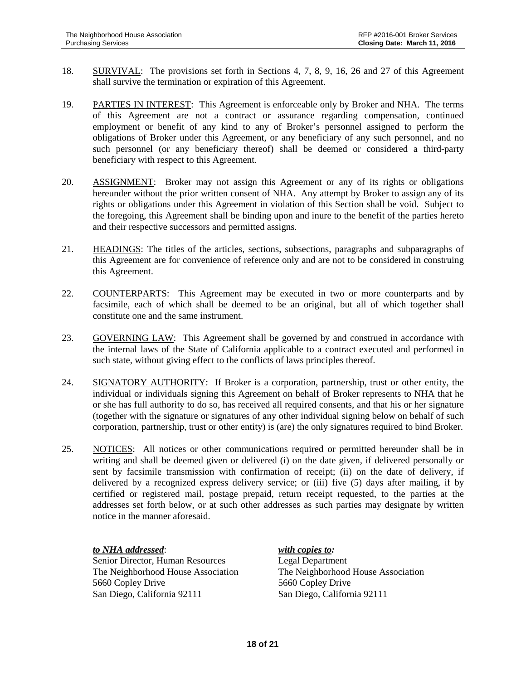- 18. SURVIVAL: The provisions set forth in Sections 4, 7, 8, 9, 16, 26 and 27 of this Agreement shall survive the termination or expiration of this Agreement.
- 19. PARTIES IN INTEREST: This Agreement is enforceable only by Broker and NHA. The terms of this Agreement are not a contract or assurance regarding compensation, continued employment or benefit of any kind to any of Broker's personnel assigned to perform the obligations of Broker under this Agreement, or any beneficiary of any such personnel, and no such personnel (or any beneficiary thereof) shall be deemed or considered a third-party beneficiary with respect to this Agreement.
- 20. ASSIGNMENT: Broker may not assign this Agreement or any of its rights or obligations hereunder without the prior written consent of NHA. Any attempt by Broker to assign any of its rights or obligations under this Agreement in violation of this Section shall be void. Subject to the foregoing, this Agreement shall be binding upon and inure to the benefit of the parties hereto and their respective successors and permitted assigns.
- 21. HEADINGS: The titles of the articles, sections, subsections, paragraphs and subparagraphs of this Agreement are for convenience of reference only and are not to be considered in construing this Agreement.
- 22. COUNTERPARTS: This Agreement may be executed in two or more counterparts and by facsimile, each of which shall be deemed to be an original, but all of which together shall constitute one and the same instrument.
- 23. GOVERNING LAW: This Agreement shall be governed by and construed in accordance with the internal laws of the State of California applicable to a contract executed and performed in such state, without giving effect to the conflicts of laws principles thereof.
- 24. SIGNATORY AUTHORITY: If Broker is a corporation, partnership, trust or other entity, the individual or individuals signing this Agreement on behalf of Broker represents to NHA that he or she has full authority to do so, has received all required consents, and that his or her signature (together with the signature or signatures of any other individual signing below on behalf of such corporation, partnership, trust or other entity) is (are) the only signatures required to bind Broker.
- 25. NOTICES: All notices or other communications required or permitted hereunder shall be in writing and shall be deemed given or delivered (i) on the date given, if delivered personally or sent by facsimile transmission with confirmation of receipt; (ii) on the date of delivery, if delivered by a recognized express delivery service; or (iii) five (5) days after mailing, if by certified or registered mail, postage prepaid, return receipt requested, to the parties at the addresses set forth below, or at such other addresses as such parties may designate by written notice in the manner aforesaid.

#### *to NHA addressed*: *with copies to:*

Senior Director, Human Resources Legal Department 5660 Copley Drive 5660 Copley Drive San Diego, California 92111 San Diego, California 92111

The Neighborhood House Association The Neighborhood House Association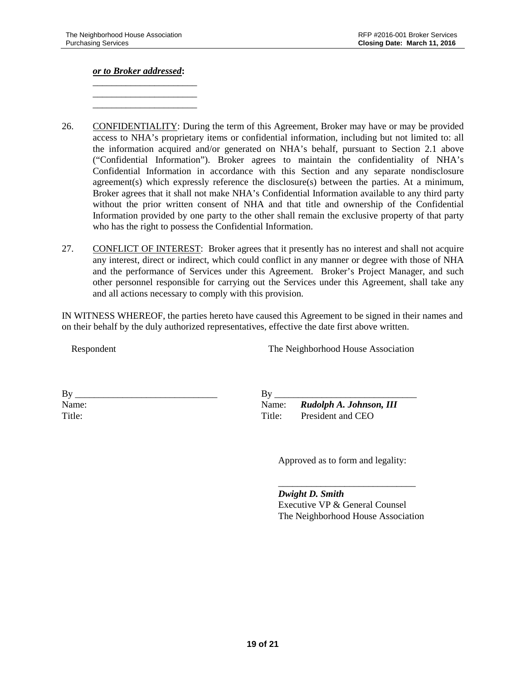*or to Broker addressed***:**

\_\_\_\_\_\_\_\_\_\_\_\_\_\_\_\_\_\_\_\_\_\_ \_\_\_\_\_\_\_\_\_\_\_\_\_\_\_\_\_\_\_\_\_\_ \_\_\_\_\_\_\_\_\_\_\_\_\_\_\_\_\_\_\_\_\_\_

- 26. CONFIDENTIALITY: During the term of this Agreement, Broker may have or may be provided access to NHA's proprietary items or confidential information, including but not limited to: all the information acquired and/or generated on NHA's behalf, pursuant to Section 2.1 above ("Confidential Information"). Broker agrees to maintain the confidentiality of NHA's Confidential Information in accordance with this Section and any separate nondisclosure agreement(s) which expressly reference the disclosure(s) between the parties. At a minimum, Broker agrees that it shall not make NHA's Confidential Information available to any third party without the prior written consent of NHA and that title and ownership of the Confidential Information provided by one party to the other shall remain the exclusive property of that party who has the right to possess the Confidential Information.
- 27. CONFLICT OF INTEREST: Broker agrees that it presently has no interest and shall not acquire any interest, direct or indirect, which could conflict in any manner or degree with those of NHA and the performance of Services under this Agreement. Broker's Project Manager, and such other personnel responsible for carrying out the Services under this Agreement, shall take any and all actions necessary to comply with this provision.

IN WITNESS WHEREOF, the parties hereto have caused this Agreement to be signed in their names and on their behalf by the duly authorized representatives, effective the date first above written.

Respondent

The Neighborhood House Association

| Вy     |  |  |
|--------|--|--|
| Name:  |  |  |
| Title: |  |  |

 $\mathbf{B} \mathbf{v}$ Name: *Rudolph A. Johnson, III* Title: President and CEO

Approved as to form and legality:

*Dwight D. Smith* Executive VP & General Counsel The Neighborhood House Association

\_\_\_\_\_\_\_\_\_\_\_\_\_\_\_\_\_\_\_\_\_\_\_\_\_\_\_\_\_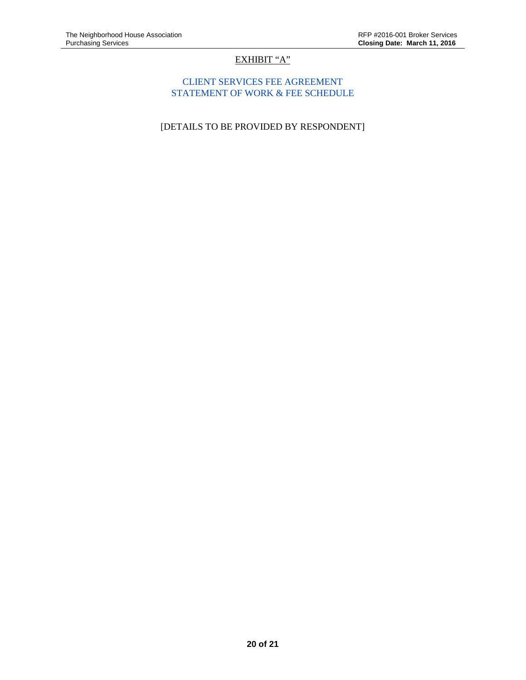# EXHIBIT "A"

# CLIENT SERVICES FEE AGREEMENT STATEMENT OF WORK & FEE SCHEDULE

[DETAILS TO BE PROVIDED BY RESPONDENT]